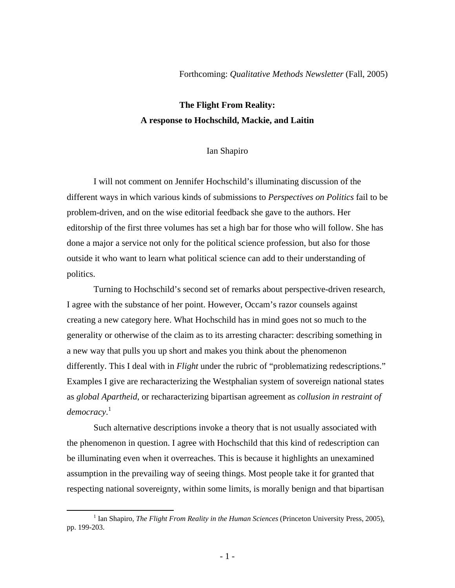Forthcoming: *Qualitative Methods Newsletter* (Fall, 2005)

## **The Flight From Reality: A response to Hochschild, Mackie, and Laitin**

## Ian Shapiro

I will not comment on Jennifer Hochschild's illuminating discussion of the different ways in which various kinds of submissions to *Perspectives on Politics* fail to be problem-driven, and on the wise editorial feedback she gave to the authors. Her editorship of the first three volumes has set a high bar for those who will follow. She has done a major a service not only for the political science profession, but also for those outside it who want to learn what political science can add to their understanding of politics.

Turning to Hochschild's second set of remarks about perspective-driven research, I agree with the substance of her point. However, Occam's razor counsels against creating a new category here. What Hochschild has in mind goes not so much to the generality or otherwise of the claim as to its arresting character: describing something in a new way that pulls you up short and makes you think about the phenomenon differently. This I deal with in *Flight* under the rubric of "problematizing redescriptions." Examples I give are recharacterizing the Westphalian system of sovereign national states as *global Apartheid*, or recharacterizing bipartisan agreement as *collusion in restraint of democracy*. [1](#page-0-0)

Such alternative descriptions invoke a theory that is not usually associated with the phenomenon in question. I agree with Hochschild that this kind of redescription can be illuminating even when it overreaches. This is because it highlights an unexamined assumption in the prevailing way of seeing things. Most people take it for granted that respecting national sovereignty, within some limits, is morally benign and that bipartisan

<span id="page-0-0"></span> $\frac{1}{1}$ <sup>1</sup> Ian Shapiro, *The Flight From Reality in the Human Sciences* (Princeton University Press, 2005), pp. 199-203.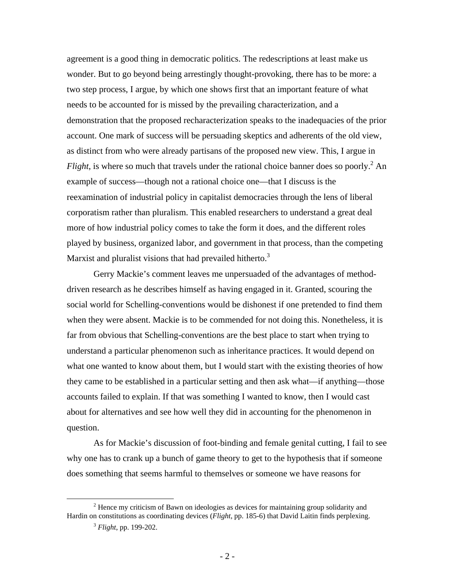agreement is a good thing in democratic politics. The redescriptions at least make us wonder. But to go beyond being arrestingly thought-provoking, there has to be more: a two step process, I argue, by which one shows first that an important feature of what needs to be accounted for is missed by the prevailing characterization, and a demonstration that the proposed recharacterization speaks to the inadequacies of the prior account. One mark of success will be persuading skeptics and adherents of the old view, as distinct from who were already partisans of the proposed new view. This, I argue in *Flight*, is where so much that travels under the rational choice banner does so poorly.<sup>[2](#page-1-0)</sup> An example of success—though not a rational choice one—that I discuss is the reexamination of industrial policy in capitalist democracies through the lens of liberal corporatism rather than pluralism. This enabled researchers to understand a great deal more of how industrial policy comes to take the form it does, and the different roles played by business, organized labor, and government in that process, than the competing Marxist and pluralist visions that had prevailed hitherto.<sup>3</sup>

Gerry Mackie's comment leaves me unpersuaded of the advantages of methoddriven research as he describes himself as having engaged in it. Granted, scouring the social world for Schelling-conventions would be dishonest if one pretended to find them when they were absent. Mackie is to be commended for not doing this. Nonetheless, it is far from obvious that Schelling-conventions are the best place to start when trying to understand a particular phenomenon such as inheritance practices. It would depend on what one wanted to know about them, but I would start with the existing theories of how they came to be established in a particular setting and then ask what—if anything—those accounts failed to explain. If that was something I wanted to know, then I would cast about for alternatives and see how well they did in accounting for the phenomenon in question.

As for Mackie's discussion of foot-binding and female genital cutting, I fail to see why one has to crank up a bunch of game theory to get to the hypothesis that if someone does something that seems harmful to themselves or someone we have reasons for

 $\frac{1}{2}$ <sup>2</sup> Hence my criticism of Bawn on ideologies as devices for maintaining group solidarity and Hardin on constitutions as coordinating devices (*Flight*, pp. 185-6) that David Laitin finds perplexing.

<span id="page-1-1"></span><span id="page-1-0"></span><sup>3</sup> *Flight*, pp. 199-202.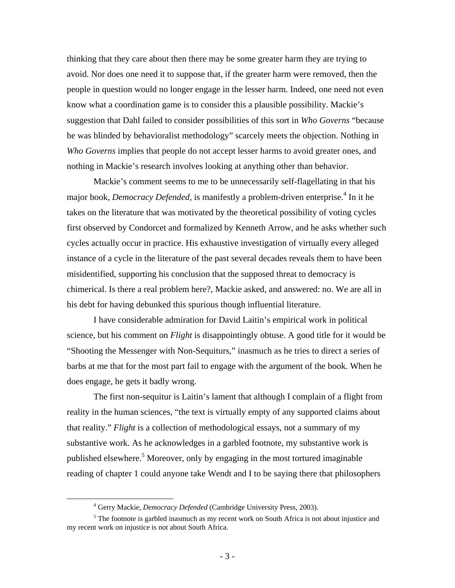thinking that they care about then there may be some greater harm they are trying to avoid. Nor does one need it to suppose that, if the greater harm were removed, then the people in question would no longer engage in the lesser harm. Indeed, one need not even know what a coordination game is to consider this a plausible possibility. Mackie's suggestion that Dahl failed to consider possibilities of this sort in *Who Governs* "because he was blinded by behavioralist methodology" scarcely meets the objection. Nothing in *Who Governs* implies that people do not accept lesser harms to avoid greater ones, and nothing in Mackie's research involves looking at anything other than behavior.

Mackie's comment seems to me to be unnecessarily self-flagellating in that his major book, *Democracy Defended*, is manifestly a problem-driven enterprise.<sup>[4](#page-2-0)</sup> In it he takes on the literature that was motivated by the theoretical possibility of voting cycles first observed by Condorcet and formalized by Kenneth Arrow, and he asks whether such cycles actually occur in practice. His exhaustive investigation of virtually every alleged instance of a cycle in the literature of the past several decades reveals them to have been misidentified, supporting his conclusion that the supposed threat to democracy is chimerical. Is there a real problem here?, Mackie asked, and answered: no. We are all in his debt for having debunked this spurious though influential literature.

I have considerable admiration for David Laitin's empirical work in political science, but his comment on *Flight* is disappointingly obtuse. A good title for it would be "Shooting the Messenger with Non-Sequiturs," inasmuch as he tries to direct a series of barbs at me that for the most part fail to engage with the argument of the book. When he does engage, he gets it badly wrong.

The first non-sequitur is Laitin's lament that although I complain of a flight from reality in the human sciences, "the text is virtually empty of any supported claims about that reality." *Flight* is a collection of methodological essays, not a summary of my substantive work. As he acknowledges in a garbled footnote, my substantive work is published elsewhere.<sup>[5](#page-2-1)</sup> Moreover, only by engaging in the most tortured imaginable reading of chapter 1 could anyone take Wendt and I to be saying there that philosophers

<span id="page-2-0"></span> $\frac{1}{4}$ Gerry Mackie, *Democracy Defended* (Cambridge University Press, 2003).

<span id="page-2-1"></span><sup>&</sup>lt;sup>5</sup> The footnote is garbled inasmuch as my recent work on South Africa is not about injustice and my recent work on injustice is not about South Africa.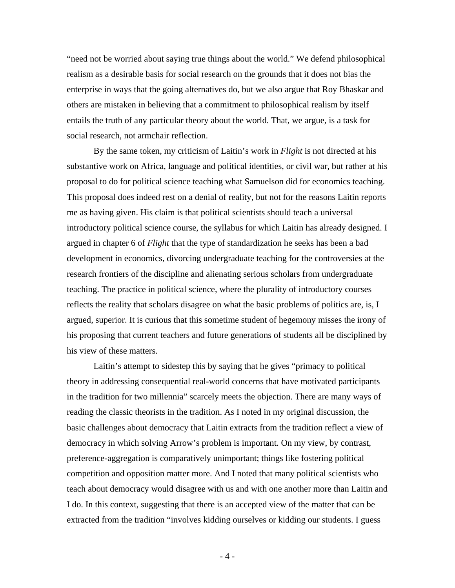"need not be worried about saying true things about the world." We defend philosophical realism as a desirable basis for social research on the grounds that it does not bias the enterprise in ways that the going alternatives do, but we also argue that Roy Bhaskar and others are mistaken in believing that a commitment to philosophical realism by itself entails the truth of any particular theory about the world. That, we argue, is a task for social research, not armchair reflection.

By the same token, my criticism of Laitin's work in *Flight* is not directed at his substantive work on Africa, language and political identities, or civil war, but rather at his proposal to do for political science teaching what Samuelson did for economics teaching. This proposal does indeed rest on a denial of reality, but not for the reasons Laitin reports me as having given. His claim is that political scientists should teach a universal introductory political science course, the syllabus for which Laitin has already designed. I argued in chapter 6 of *Flight* that the type of standardization he seeks has been a bad development in economics, divorcing undergraduate teaching for the controversies at the research frontiers of the discipline and alienating serious scholars from undergraduate teaching. The practice in political science, where the plurality of introductory courses reflects the reality that scholars disagree on what the basic problems of politics are, is, I argued, superior. It is curious that this sometime student of hegemony misses the irony of his proposing that current teachers and future generations of students all be disciplined by his view of these matters.

Laitin's attempt to sidestep this by saying that he gives "primacy to political theory in addressing consequential real-world concerns that have motivated participants in the tradition for two millennia" scarcely meets the objection. There are many ways of reading the classic theorists in the tradition. As I noted in my original discussion, the basic challenges about democracy that Laitin extracts from the tradition reflect a view of democracy in which solving Arrow's problem is important. On my view, by contrast, preference-aggregation is comparatively unimportant; things like fostering political competition and opposition matter more. And I noted that many political scientists who teach about democracy would disagree with us and with one another more than Laitin and I do. In this context, suggesting that there is an accepted view of the matter that can be extracted from the tradition "involves kidding ourselves or kidding our students. I guess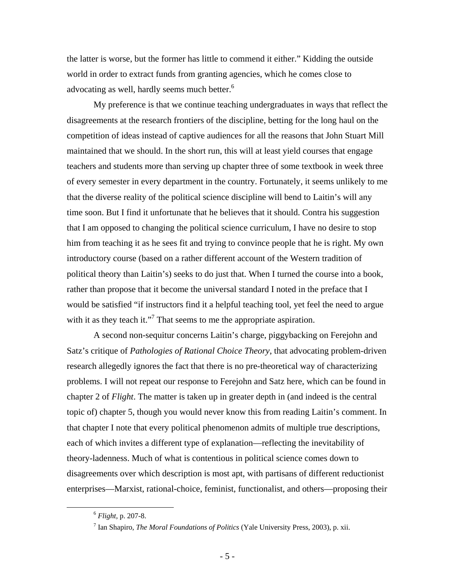the latter is worse, but the former has little to commend it either." Kidding the outside world in order to extract funds from granting agencies, which he comes close to advocating as well, hardly seems much better. $6$ 

My preference is that we continue teaching undergraduates in ways that reflect the disagreements at the research frontiers of the discipline, betting for the long haul on the competition of ideas instead of captive audiences for all the reasons that John Stuart Mill maintained that we should. In the short run, this will at least yield courses that engage teachers and students more than serving up chapter three of some textbook in week three of every semester in every department in the country. Fortunately, it seems unlikely to me that the diverse reality of the political science discipline will bend to Laitin's will any time soon. But I find it unfortunate that he believes that it should. Contra his suggestion that I am opposed to changing the political science curriculum, I have no desire to stop him from teaching it as he sees fit and trying to convince people that he is right. My own introductory course (based on a rather different account of the Western tradition of political theory than Laitin's) seeks to do just that. When I turned the course into a book, rather than propose that it become the universal standard I noted in the preface that I would be satisfied "if instructors find it a helpful teaching tool, yet feel the need to argue with it as they teach it."<sup>7</sup> That seems to me the appropriate aspiration.

A second non-sequitur concerns Laitin's charge, piggybacking on Ferejohn and Satz's critique of *Pathologies of Rational Choice Theory*, that advocating problem-driven research allegedly ignores the fact that there is no pre-theoretical way of characterizing problems. I will not repeat our response to Ferejohn and Satz here, which can be found in chapter 2 of *Flight*. The matter is taken up in greater depth in (and indeed is the central topic of) chapter 5, though you would never know this from reading Laitin's comment. In that chapter I note that every political phenomenon admits of multiple true descriptions, each of which invites a different type of explanation—reflecting the inevitability of theory-ladenness. Much of what is contentious in political science comes down to disagreements over which description is most apt, with partisans of different reductionist enterprises—Marxist, rational-choice, feminist, functionalist, and others—proposing their

<span id="page-4-0"></span> <sup>6</sup> *Flight,* p. 207-8.

<span id="page-4-1"></span><sup>7</sup> Ian Shapiro, *The Moral Foundations of Politics* (Yale University Press, 2003), p. xii.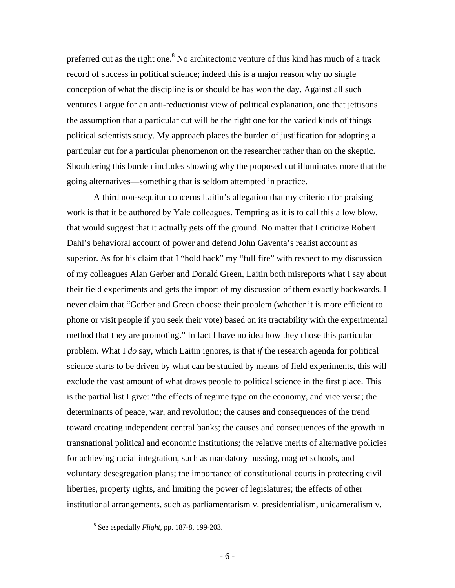preferred cut as the right one.<sup>8</sup> No architectonic venture of this kind has much of a track record of success in political science; indeed this is a major reason why no single conception of what the discipline is or should be has won the day. Against all such ventures I argue for an anti-reductionist view of political explanation, one that jettisons the assumption that a particular cut will be the right one for the varied kinds of things political scientists study. My approach places the burden of justification for adopting a particular cut for a particular phenomenon on the researcher rather than on the skeptic. Shouldering this burden includes showing why the proposed cut illuminates more that the going alternatives—something that is seldom attempted in practice.

A third non-sequitur concerns Laitin's allegation that my criterion for praising work is that it be authored by Yale colleagues. Tempting as it is to call this a low blow, that would suggest that it actually gets off the ground. No matter that I criticize Robert Dahl's behavioral account of power and defend John Gaventa's realist account as superior. As for his claim that I "hold back" my "full fire" with respect to my discussion of my colleagues Alan Gerber and Donald Green, Laitin both misreports what I say about their field experiments and gets the import of my discussion of them exactly backwards. I never claim that "Gerber and Green choose their problem (whether it is more efficient to phone or visit people if you seek their vote) based on its tractability with the experimental method that they are promoting." In fact I have no idea how they chose this particular problem. What I *do* say, which Laitin ignores, is that *if* the research agenda for political science starts to be driven by what can be studied by means of field experiments, this will exclude the vast amount of what draws people to political science in the first place. This is the partial list I give: "the effects of regime type on the economy, and vice versa; the determinants of peace, war, and revolution; the causes and consequences of the trend toward creating independent central banks; the causes and consequences of the growth in transnational political and economic institutions; the relative merits of alternative policies for achieving racial integration, such as mandatory bussing, magnet schools, and voluntary desegregation plans; the importance of constitutional courts in protecting civil liberties, property rights, and limiting the power of legislatures; the effects of other institutional arrangements, such as parliamentarism v. presidentialism, unicameralism v.

<span id="page-5-0"></span> $\begin{array}{c|c}\n\hline\n\text{1} & \text{2} & \text{3} \\
\hline\n\text{2} & \text{3} & \text{4}\n\end{array}$ See especially *Flight,* pp. 187-8, 199-203.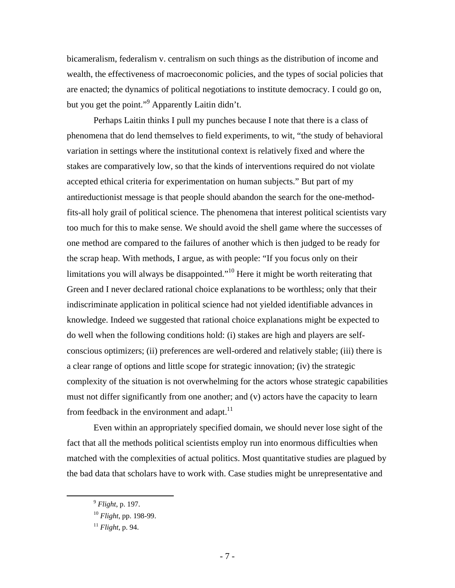bicameralism, federalism v. centralism on such things as the distribution of income and wealth, the effectiveness of macroeconomic policies, and the types of social policies that are enacted; the dynamics of political negotiations to institute democracy. I could go on, but you get the point."<sup>[9](#page-6-0)</sup> Apparently Laitin didn't.

Perhaps Laitin thinks I pull my punches because I note that there is a class of phenomena that do lend themselves to field experiments, to wit, "the study of behavioral variation in settings where the institutional context is relatively fixed and where the stakes are comparatively low, so that the kinds of interventions required do not violate accepted ethical criteria for experimentation on human subjects." But part of my antireductionist message is that people should abandon the search for the one-methodfits-all holy grail of political science. The phenomena that interest political scientists vary too much for this to make sense. We should avoid the shell game where the successes of one method are compared to the failures of another which is then judged to be ready for the scrap heap. With methods, I argue, as with people: "If you focus only on their limitations you will always be disappointed."<sup>10</sup> Here it might be worth reiterating that Green and I never declared rational choice explanations to be worthless; only that their indiscriminate application in political science had not yielded identifiable advances in knowledge. Indeed we suggested that rational choice explanations might be expected to do well when the following conditions hold: (i) stakes are high and players are selfconscious optimizers; (ii) preferences are well-ordered and relatively stable; (iii) there is a clear range of options and little scope for strategic innovation; (iv) the strategic complexity of the situation is not overwhelming for the actors whose strategic capabilities must not differ significantly from one another; and (v) actors have the capacity to learn from feedback in the environment and adapt. $^{11}$ 

Even within an appropriately specified domain, we should never lose sight of the fact that all the methods political scientists employ run into enormous difficulties when matched with the complexities of actual politics. Most quantitative studies are plagued by the bad data that scholars have to work with. Case studies might be unrepresentative and

<span id="page-6-0"></span> <sup>9</sup> *Flight*, p. 197.

<span id="page-6-1"></span><sup>10</sup> *Flight*, pp. 198-99.

<span id="page-6-2"></span><sup>11</sup> *Flight*, p. 94.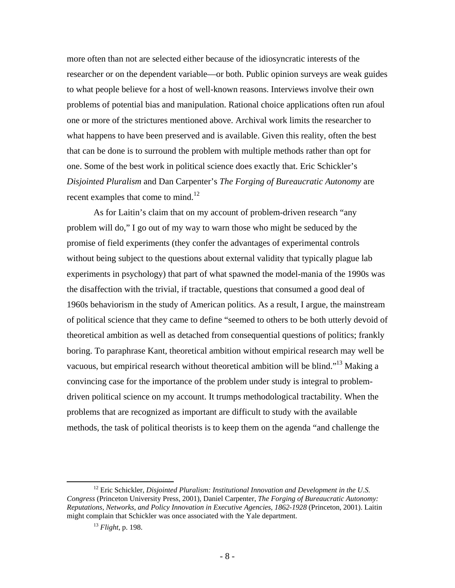more often than not are selected either because of the idiosyncratic interests of the researcher or on the dependent variable—or both. Public opinion surveys are weak guides to what people believe for a host of well-known reasons. Interviews involve their own problems of potential bias and manipulation. Rational choice applications often run afoul one or more of the strictures mentioned above. Archival work limits the researcher to what happens to have been preserved and is available. Given this reality, often the best that can be done is to surround the problem with multiple methods rather than opt for one. Some of the best work in political science does exactly that. Eric Schickler's *Disjointed Pluralism* and Dan Carpenter's *The Forging of Bureaucratic Autonomy* are recent examples that come to mind.<sup>[12](#page-7-0)</sup>

As for Laitin's claim that on my account of problem-driven research "any problem will do," I go out of my way to warn those who might be seduced by the promise of field experiments (they confer the advantages of experimental controls without being subject to the questions about external validity that typically plague lab experiments in psychology) that part of what spawned the model-mania of the 1990s was the disaffection with the trivial, if tractable, questions that consumed a good deal of 1960s behaviorism in the study of American politics. As a result, I argue, the mainstream of political science that they came to define "seemed to others to be both utterly devoid of theoretical ambition as well as detached from consequential questions of politics; frankly boring. To paraphrase Kant, theoretical ambition without empirical research may well be vacuous, but empirical research without theoretical ambition will be blind."<sup>13</sup> Making a convincing case for the importance of the problem under study is integral to problemdriven political science on my account. It trumps methodological tractability. When the problems that are recognized as important are difficult to study with the available methods, the task of political theorists is to keep them on the agenda "and challenge the

<span id="page-7-0"></span><sup>&</sup>lt;sup>12</sup> Eric Schickler, *Disjointed Pluralism: Institutional Innovation and Development in the U.S. Congress* (Princeton University Press, 2001), Daniel Carpenter, *The Forging of Bureaucratic Autonomy: Reputations, Networks, and Policy Innovation in Executive Agencies, 1862-1928* (Princeton, 2001). Laitin might complain that Schickler was once associated with the Yale department.

<span id="page-7-1"></span><sup>13</sup> *Flight*, p. 198.